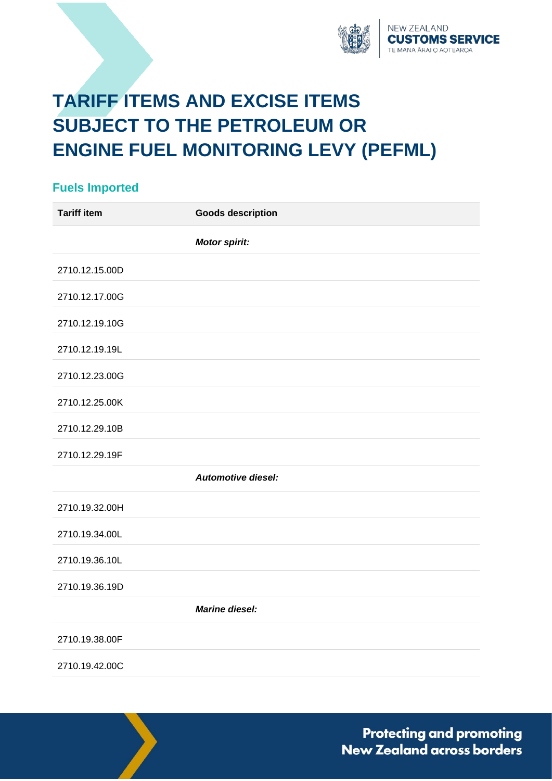

## **TARIFF ITEMS AND EXCISE ITEMS SUBJECT TO THE PETROLEUM OR ENGINE FUEL MONITORING LEVY (PEFML)**

## **Fuels Imported Tariff item Goods description** *Motor spirit:* 2710.12.15.00D 2710.12.17.00G 2710.12.19.10G 2710.12.19.19L 2710.12.23.00G 2710.12.25.00K 2710.12.29.10B 2710.12.29.19F *Automotive diesel:* 2710.19.32.00H 2710.19.34.00L 2710.19.36.10L 2710.19.36.19D *Marine diesel:* 2710.19.38.00F 2710.19.42.00C

**Protecting and promoting** New Zealand across borders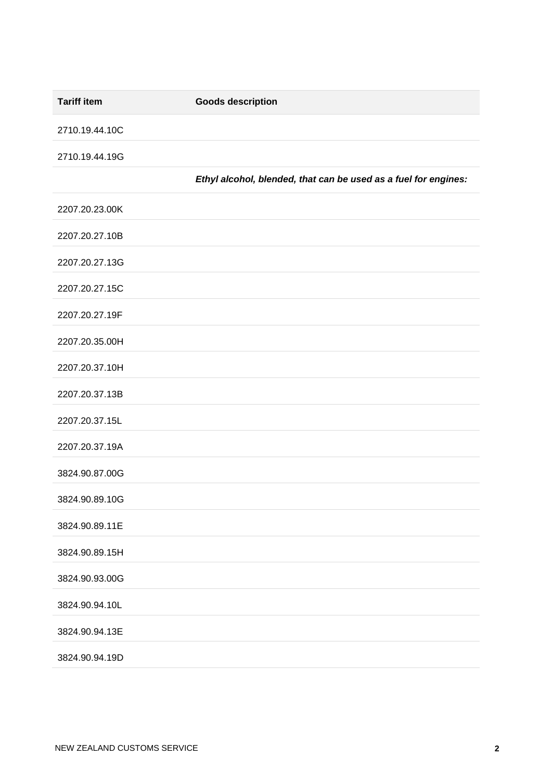| <b>Tariff item</b> | <b>Goods description</b>                                        |
|--------------------|-----------------------------------------------------------------|
| 2710.19.44.10C     |                                                                 |
| 2710.19.44.19G     |                                                                 |
|                    | Ethyl alcohol, blended, that can be used as a fuel for engines: |
| 2207.20.23.00K     |                                                                 |
| 2207.20.27.10B     |                                                                 |
| 2207.20.27.13G     |                                                                 |
| 2207.20.27.15C     |                                                                 |
| 2207.20.27.19F     |                                                                 |
| 2207.20.35.00H     |                                                                 |
| 2207.20.37.10H     |                                                                 |
| 2207.20.37.13B     |                                                                 |
| 2207.20.37.15L     |                                                                 |
| 2207.20.37.19A     |                                                                 |
| 3824.90.87.00G     |                                                                 |
| 3824.90.89.10G     |                                                                 |
| 3824.90.89.11E     |                                                                 |
| 3824.90.89.15H     |                                                                 |
| 3824.90.93.00G     |                                                                 |
| 3824.90.94.10L     |                                                                 |
| 3824.90.94.13E     |                                                                 |
| 3824.90.94.19D     |                                                                 |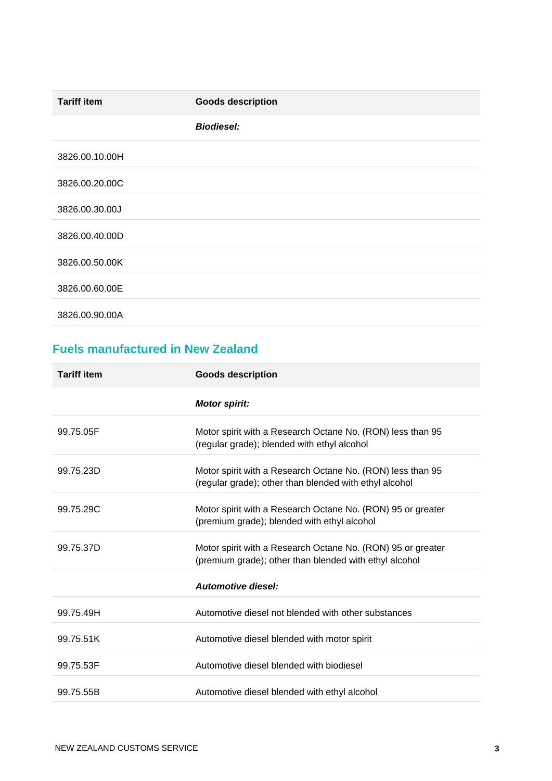| <b>Tariff item</b> | <b>Goods description</b> |
|--------------------|--------------------------|
|                    | <b>Biodiesel:</b>        |
| 3826.00.10.00H     |                          |
| 3826.00.20.00C     |                          |
| 3826.00.30.00J     |                          |
| 3826.00.40.00D     |                          |
| 3826.00.50.00K     |                          |
| 3826.00.60.00E     |                          |
| 3826.00.90.00A     |                          |

## **Fuels manufactured in New Zealand**

| <b>Tariff item</b> | <b>Goods description</b>                                                                                              |
|--------------------|-----------------------------------------------------------------------------------------------------------------------|
|                    | <b>Motor spirit:</b>                                                                                                  |
| 99.75.05F          | Motor spirit with a Research Octane No. (RON) less than 95<br>(regular grade); blended with ethyl alcohol             |
| 99.75.23D          | Motor spirit with a Research Octane No. (RON) less than 95<br>(regular grade); other than blended with ethyl alcohol  |
| 99.75.29C          | Motor spirit with a Research Octane No. (RON) 95 or greater<br>(premium grade); blended with ethyl alcohol            |
| 99.75.37D          | Motor spirit with a Research Octane No. (RON) 95 or greater<br>(premium grade); other than blended with ethyl alcohol |
|                    | <b>Automotive diesel:</b>                                                                                             |
| 99.75.49H          | Automotive diesel not blended with other substances                                                                   |
| 99.75.51K          | Automotive diesel blended with motor spirit                                                                           |
| 99.75.53F          | Automotive diesel blended with biodiesel                                                                              |
| 99.75.55B          | Automotive diesel blended with ethyl alcohol                                                                          |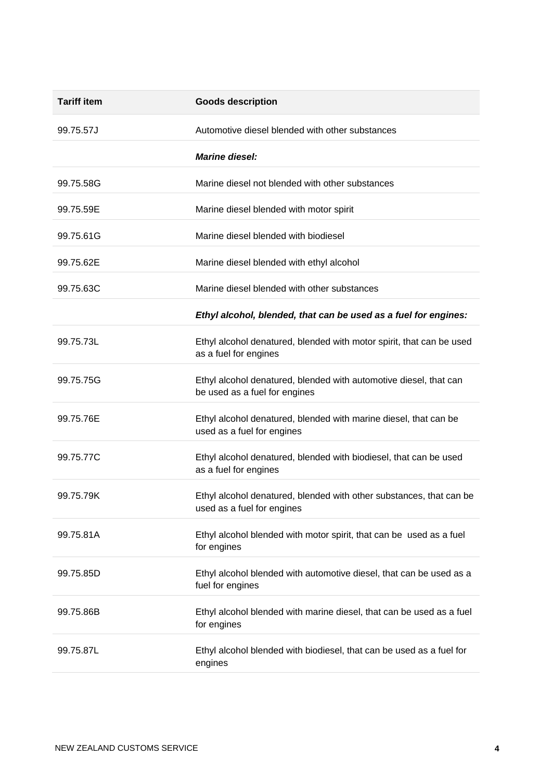| <b>Tariff item</b> | <b>Goods description</b>                                                                           |
|--------------------|----------------------------------------------------------------------------------------------------|
| 99.75.57J          | Automotive diesel blended with other substances                                                    |
|                    | <b>Marine diesel:</b>                                                                              |
| 99.75.58G          | Marine diesel not blended with other substances                                                    |
| 99.75.59E          | Marine diesel blended with motor spirit                                                            |
| 99.75.61G          | Marine diesel blended with biodiesel                                                               |
| 99.75.62E          | Marine diesel blended with ethyl alcohol                                                           |
| 99.75.63C          | Marine diesel blended with other substances                                                        |
|                    | Ethyl alcohol, blended, that can be used as a fuel for engines:                                    |
| 99.75.73L          | Ethyl alcohol denatured, blended with motor spirit, that can be used<br>as a fuel for engines      |
| 99.75.75G          | Ethyl alcohol denatured, blended with automotive diesel, that can<br>be used as a fuel for engines |
| 99.75.76E          | Ethyl alcohol denatured, blended with marine diesel, that can be<br>used as a fuel for engines     |
| 99.75.77C          | Ethyl alcohol denatured, blended with biodiesel, that can be used<br>as a fuel for engines         |
| 99.75.79K          | Ethyl alcohol denatured, blended with other substances, that can be<br>used as a fuel for engines  |
| 99.75.81A          | Ethyl alcohol blended with motor spirit, that can be used as a fuel<br>for engines                 |
| 99.75.85D          | Ethyl alcohol blended with automotive diesel, that can be used as a<br>fuel for engines            |
| 99.75.86B          | Ethyl alcohol blended with marine diesel, that can be used as a fuel<br>for engines                |
| 99.75.87L          | Ethyl alcohol blended with biodiesel, that can be used as a fuel for<br>engines                    |